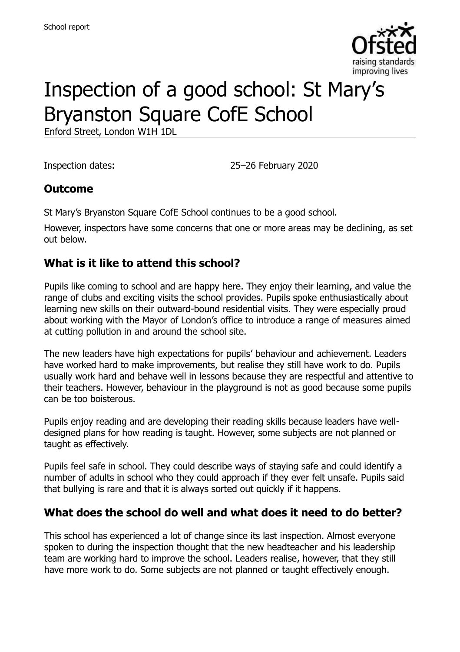

# Inspection of a good school: St Mary's Bryanston Square CofE School

Enford Street, London W1H 1DL

Inspection dates: 25–26 February 2020

#### **Outcome**

St Mary's Bryanston Square CofE School continues to be a good school.

However, inspectors have some concerns that one or more areas may be declining, as set out below.

### **What is it like to attend this school?**

Pupils like coming to school and are happy here. They enjoy their learning, and value the range of clubs and exciting visits the school provides. Pupils spoke enthusiastically about learning new skills on their outward-bound residential visits. They were especially proud about working with the Mayor of London's office to introduce a range of measures aimed at cutting pollution in and around the school site.

The new leaders have high expectations for pupils' behaviour and achievement. Leaders have worked hard to make improvements, but realise they still have work to do. Pupils usually work hard and behave well in lessons because they are respectful and attentive to their teachers. However, behaviour in the playground is not as good because some pupils can be too boisterous.

Pupils enjoy reading and are developing their reading skills because leaders have welldesigned plans for how reading is taught. However, some subjects are not planned or taught as effectively.

Pupils feel safe in school. They could describe ways of staying safe and could identify a number of adults in school who they could approach if they ever felt unsafe. Pupils said that bullying is rare and that it is always sorted out quickly if it happens.

### **What does the school do well and what does it need to do better?**

This school has experienced a lot of change since its last inspection. Almost everyone spoken to during the inspection thought that the new headteacher and his leadership team are working hard to improve the school. Leaders realise, however, that they still have more work to do. Some subjects are not planned or taught effectively enough.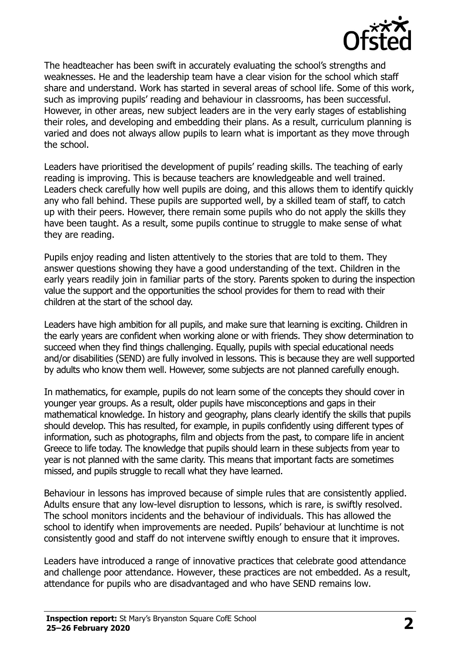

The headteacher has been swift in accurately evaluating the school's strengths and weaknesses. He and the leadership team have a clear vision for the school which staff share and understand. Work has started in several areas of school life. Some of this work, such as improving pupils' reading and behaviour in classrooms, has been successful. However, in other areas, new subject leaders are in the very early stages of establishing their roles, and developing and embedding their plans. As a result, curriculum planning is varied and does not always allow pupils to learn what is important as they move through the school.

Leaders have prioritised the development of pupils' reading skills. The teaching of early reading is improving. This is because teachers are knowledgeable and well trained. Leaders check carefully how well pupils are doing, and this allows them to identify quickly any who fall behind. These pupils are supported well, by a skilled team of staff, to catch up with their peers. However, there remain some pupils who do not apply the skills they have been taught. As a result, some pupils continue to struggle to make sense of what they are reading.

Pupils enjoy reading and listen attentively to the stories that are told to them. They answer questions showing they have a good understanding of the text. Children in the early years readily join in familiar parts of the story. Parents spoken to during the inspection value the support and the opportunities the school provides for them to read with their children at the start of the school day.

Leaders have high ambition for all pupils, and make sure that learning is exciting. Children in the early years are confident when working alone or with friends. They show determination to succeed when they find things challenging. Equally, pupils with special educational needs and/or disabilities (SEND) are fully involved in lessons. This is because they are well supported by adults who know them well. However, some subjects are not planned carefully enough.

In mathematics, for example, pupils do not learn some of the concepts they should cover in younger year groups. As a result, older pupils have misconceptions and gaps in their mathematical knowledge. In history and geography, plans clearly identify the skills that pupils should develop. This has resulted, for example, in pupils confidently using different types of information, such as photographs, film and objects from the past, to compare life in ancient Greece to life today. The knowledge that pupils should learn in these subjects from year to year is not planned with the same clarity. This means that important facts are sometimes missed, and pupils struggle to recall what they have learned.

Behaviour in lessons has improved because of simple rules that are consistently applied. Adults ensure that any low-level disruption to lessons, which is rare, is swiftly resolved. The school monitors incidents and the behaviour of individuals. This has allowed the school to identify when improvements are needed. Pupils' behaviour at lunchtime is not consistently good and staff do not intervene swiftly enough to ensure that it improves.

Leaders have introduced a range of innovative practices that celebrate good attendance and challenge poor attendance. However, these practices are not embedded. As a result, attendance for pupils who are disadvantaged and who have SEND remains low.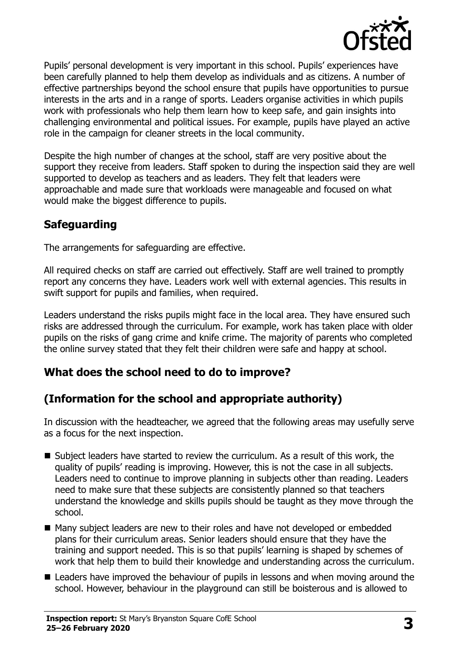

Pupils' personal development is very important in this school. Pupils' experiences have been carefully planned to help them develop as individuals and as citizens. A number of effective partnerships beyond the school ensure that pupils have opportunities to pursue interests in the arts and in a range of sports. Leaders organise activities in which pupils work with professionals who help them learn how to keep safe, and gain insights into challenging environmental and political issues. For example, pupils have played an active role in the campaign for cleaner streets in the local community.

Despite the high number of changes at the school, staff are very positive about the support they receive from leaders. Staff spoken to during the inspection said they are well supported to develop as teachers and as leaders. They felt that leaders were approachable and made sure that workloads were manageable and focused on what would make the biggest difference to pupils.

# **Safeguarding**

The arrangements for safeguarding are effective.

All required checks on staff are carried out effectively. Staff are well trained to promptly report any concerns they have. Leaders work well with external agencies. This results in swift support for pupils and families, when required.

Leaders understand the risks pupils might face in the local area. They have ensured such risks are addressed through the curriculum. For example, work has taken place with older pupils on the risks of gang crime and knife crime. The majority of parents who completed the online survey stated that they felt their children were safe and happy at school.

# **What does the school need to do to improve?**

# **(Information for the school and appropriate authority)**

In discussion with the headteacher, we agreed that the following areas may usefully serve as a focus for the next inspection.

- Subject leaders have started to review the curriculum. As a result of this work, the quality of pupils' reading is improving. However, this is not the case in all subjects. Leaders need to continue to improve planning in subjects other than reading. Leaders need to make sure that these subjects are consistently planned so that teachers understand the knowledge and skills pupils should be taught as they move through the school.
- Many subject leaders are new to their roles and have not developed or embedded plans for their curriculum areas. Senior leaders should ensure that they have the training and support needed. This is so that pupils' learning is shaped by schemes of work that help them to build their knowledge and understanding across the curriculum.
- Leaders have improved the behaviour of pupils in lessons and when moving around the school. However, behaviour in the playground can still be boisterous and is allowed to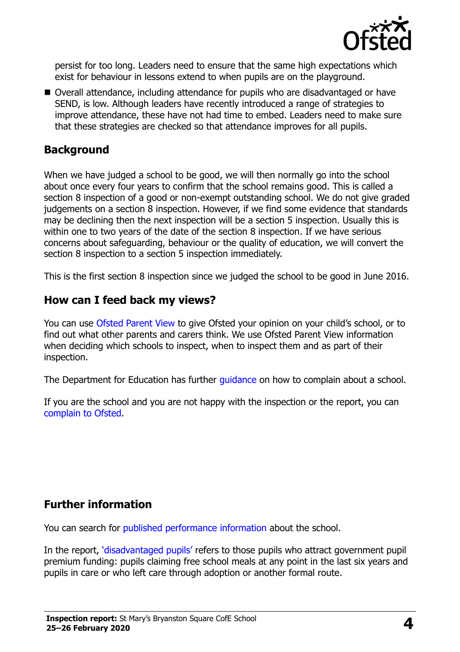

persist for too long. Leaders need to ensure that the same high expectations which exist for behaviour in lessons extend to when pupils are on the playground.

■ Overall attendance, including attendance for pupils who are disadvantaged or have SEND, is low. Although leaders have recently introduced a range of strategies to improve attendance, these have not had time to embed. Leaders need to make sure that these strategies are checked so that attendance improves for all pupils.

### **Background**

When we have judged a school to be good, we will then normally go into the school about once every four years to confirm that the school remains good. This is called a section 8 inspection of a good or non-exempt outstanding school. We do not give graded judgements on a section 8 inspection. However, if we find some evidence that standards may be declining then the next inspection will be a section 5 inspection. Usually this is within one to two years of the date of the section 8 inspection. If we have serious concerns about safeguarding, behaviour or the quality of education, we will convert the section 8 inspection to a section 5 inspection immediately.

This is the first section 8 inspection since we judged the school to be good in June 2016.

#### **How can I feed back my views?**

You can use [Ofsted Parent View](https://parentview.ofsted.gov.uk/) to give Ofsted your opinion on your child's school, or to find out what other parents and carers think. We use Ofsted Parent View information when deciding which schools to inspect, when to inspect them and as part of their inspection.

The Department for Education has further quidance on how to complain about a school.

If you are the school and you are not happy with the inspection or the report, you can [complain to Ofsted.](https://www.gov.uk/complain-ofsted-report)

### **Further information**

You can search for [published performance information](http://www.compare-school-performance.service.gov.uk/) about the school.

In the report, '[disadvantaged pupils](http://www.gov.uk/guidance/pupil-premium-information-for-schools-and-alternative-provision-settings)' refers to those pupils who attract government pupil premium funding: pupils claiming free school meals at any point in the last six years and pupils in care or who left care through adoption or another formal route.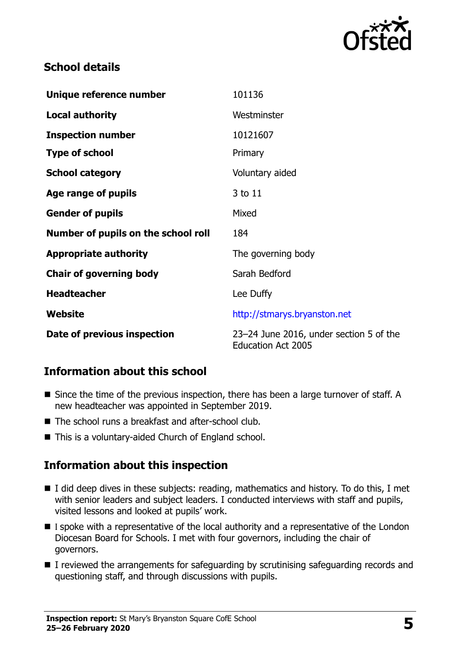

# **School details**

| Unique reference number             | 101136                                                               |
|-------------------------------------|----------------------------------------------------------------------|
| <b>Local authority</b>              | Westminster                                                          |
| <b>Inspection number</b>            | 10121607                                                             |
| <b>Type of school</b>               | Primary                                                              |
| <b>School category</b>              | Voluntary aided                                                      |
| Age range of pupils                 | 3 to 11                                                              |
| <b>Gender of pupils</b>             | Mixed                                                                |
| Number of pupils on the school roll | 184                                                                  |
| <b>Appropriate authority</b>        | The governing body                                                   |
| <b>Chair of governing body</b>      | Sarah Bedford                                                        |
| <b>Headteacher</b>                  | Lee Duffy                                                            |
| Website                             | http://stmarys.bryanston.net                                         |
| Date of previous inspection         | 23-24 June 2016, under section 5 of the<br><b>Education Act 2005</b> |

# **Information about this school**

- Since the time of the previous inspection, there has been a large turnover of staff. A new headteacher was appointed in September 2019.
- The school runs a breakfast and after-school club.
- This is a voluntary-aided Church of England school.

### **Information about this inspection**

- I did deep dives in these subjects: reading, mathematics and history. To do this, I met with senior leaders and subject leaders. I conducted interviews with staff and pupils, visited lessons and looked at pupils' work.
- I spoke with a representative of the local authority and a representative of the London Diocesan Board for Schools. I met with four governors, including the chair of governors.
- I reviewed the arrangements for safeguarding by scrutinising safeguarding records and questioning staff, and through discussions with pupils.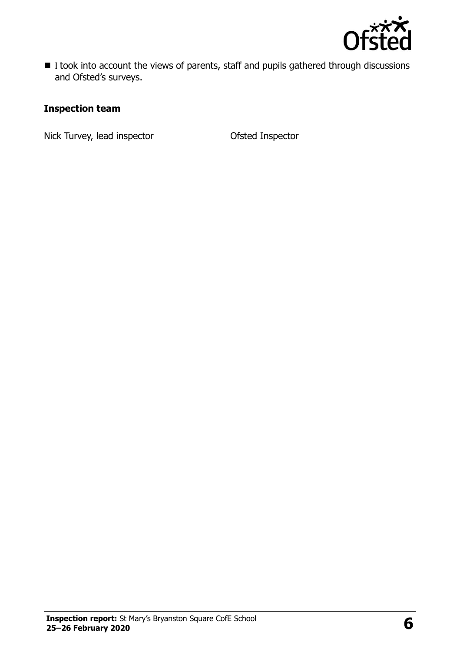

■ I took into account the views of parents, staff and pupils gathered through discussions and Ofsted's surveys.

#### **Inspection team**

Nick Turvey, lead inspector **CEP CONTER CONTER** Ofsted Inspector